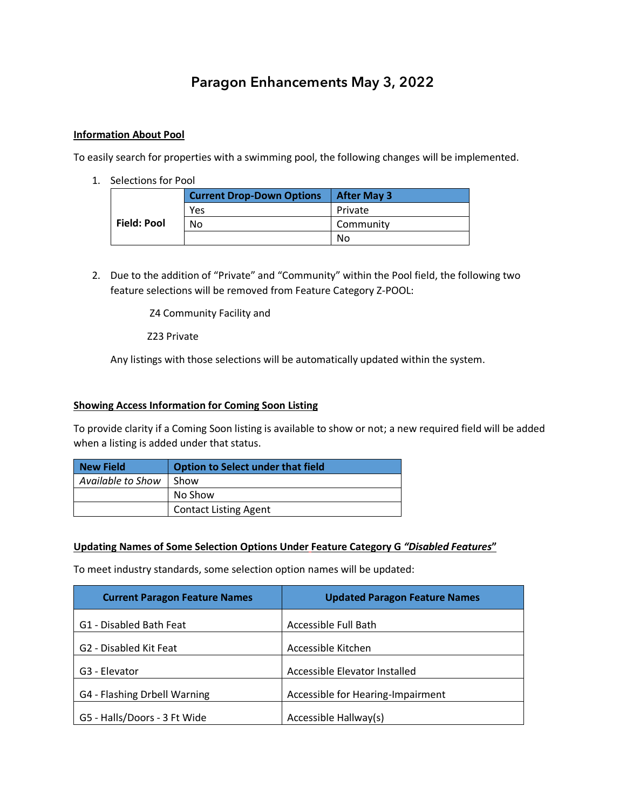# **Paragon Enhancements May 3, 2022**

## **Information About Pool**

To easily search for properties with a swimming pool, the following changes will be implemented.

1. Selections for Pool

|                    | <b>Current Drop-Down Options</b> | <b>After May 3</b> |
|--------------------|----------------------------------|--------------------|
|                    | Yes                              | Private            |
| <b>Field: Pool</b> | No                               | Community          |
|                    |                                  | No                 |

2. Due to the addition of "Private" and "Community" within the Pool field, the following two feature selections will be removed from Feature Category Z-POOL:

Z4 Community Facility and

Z23 Private

Any listings with those selections will be automatically updated within the system.

#### **Showing Access Information for Coming Soon Listing**

To provide clarity if a Coming Soon listing is available to show or not; a new required field will be added when a listing is added under that status.

| <b>New Field</b>  | <b>Option to Select under that field</b> |
|-------------------|------------------------------------------|
| Available to Show | Show                                     |
|                   | No Show                                  |
|                   | <b>Contact Listing Agent</b>             |

#### **Updating Names of Some Selection Options Under Feature Category G** *"Disabled Features***"**

To meet industry standards, some selection option names will be updated:

| <b>Current Paragon Feature Names</b> | <b>Updated Paragon Feature Names</b> |
|--------------------------------------|--------------------------------------|
| G1 - Disabled Bath Feat              | Accessible Full Bath                 |
| G <sub>2</sub> - Disabled Kit Feat   | Accessible Kitchen                   |
| G <sub>3</sub> - Elevator            | Accessible Elevator Installed        |
| G4 - Flashing Drbell Warning         | Accessible for Hearing-Impairment    |
| G5 - Halls/Doors - 3 Ft Wide         | Accessible Hallway(s)                |